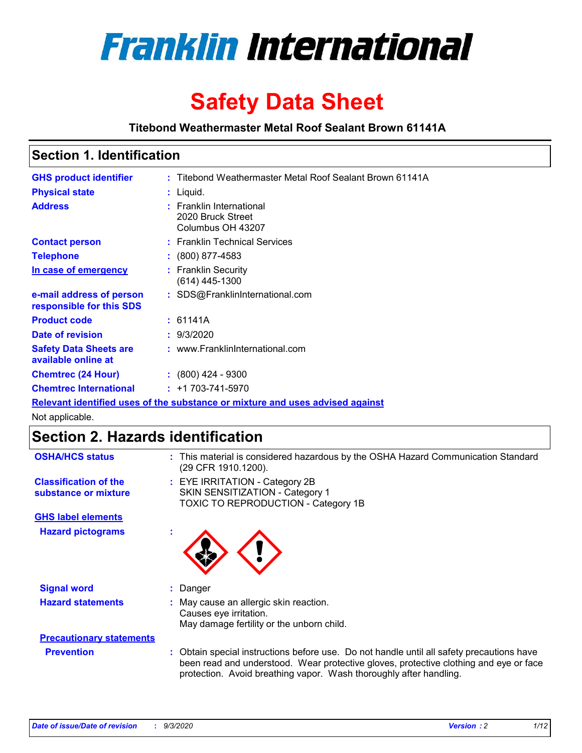

# **Safety Data Sheet**

**Titebond Weathermaster Metal Roof Sealant Brown 61141A**

### **Section 1. Identification**

| <b>GHS product identifier</b>                                                 |  | : Titebond Weathermaster Metal Roof Sealant Brown 61141A           |  |
|-------------------------------------------------------------------------------|--|--------------------------------------------------------------------|--|
| <b>Physical state</b>                                                         |  | $:$ Liquid.                                                        |  |
| <b>Address</b>                                                                |  | : Franklin International<br>2020 Bruck Street<br>Columbus OH 43207 |  |
| <b>Contact person</b>                                                         |  | : Franklin Technical Services                                      |  |
| <b>Telephone</b>                                                              |  | $: (800) 877 - 4583$                                               |  |
| In case of emergency                                                          |  | : Franklin Security<br>(614) 445-1300                              |  |
| e-mail address of person<br>responsible for this SDS                          |  | : SDS@FranklinInternational.com                                    |  |
| <b>Product code</b>                                                           |  | : 61141A                                                           |  |
| Date of revision                                                              |  | : 9/3/2020                                                         |  |
| <b>Safety Data Sheets are</b><br>available online at                          |  | : www.FranklinInternational.com                                    |  |
| <b>Chemtrec (24 Hour)</b>                                                     |  | $\cdot$ (800) 424 - 9300                                           |  |
| <b>Chemtrec International</b>                                                 |  | $: +1703 - 741 - 5970$                                             |  |
| Relevant identified uses of the substance or mixture and uses advised against |  |                                                                    |  |

Not applicable.

## **Section 2. Hazards identification**

| <b>OSHA/HCS status</b>                               | : This material is considered hazardous by the OSHA Hazard Communication Standard<br>(29 CFR 1910.1200).                                                                                                                                                 |
|------------------------------------------------------|----------------------------------------------------------------------------------------------------------------------------------------------------------------------------------------------------------------------------------------------------------|
| <b>Classification of the</b><br>substance or mixture | : EYE IRRITATION - Category 2B<br>SKIN SENSITIZATION - Category 1<br>TOXIC TO REPRODUCTION - Category 1B                                                                                                                                                 |
| <b>GHS label elements</b>                            |                                                                                                                                                                                                                                                          |
| <b>Hazard pictograms</b>                             |                                                                                                                                                                                                                                                          |
| <b>Signal word</b>                                   | : Danger                                                                                                                                                                                                                                                 |
| <b>Hazard statements</b>                             | : May cause an allergic skin reaction.<br>Causes eye irritation.<br>May damage fertility or the unborn child.                                                                                                                                            |
| <b>Precautionary statements</b>                      |                                                                                                                                                                                                                                                          |
| <b>Prevention</b>                                    | : Obtain special instructions before use. Do not handle until all safety precautions have<br>been read and understood. Wear protective gloves, protective clothing and eye or face<br>protection. Avoid breathing vapor. Wash thoroughly after handling. |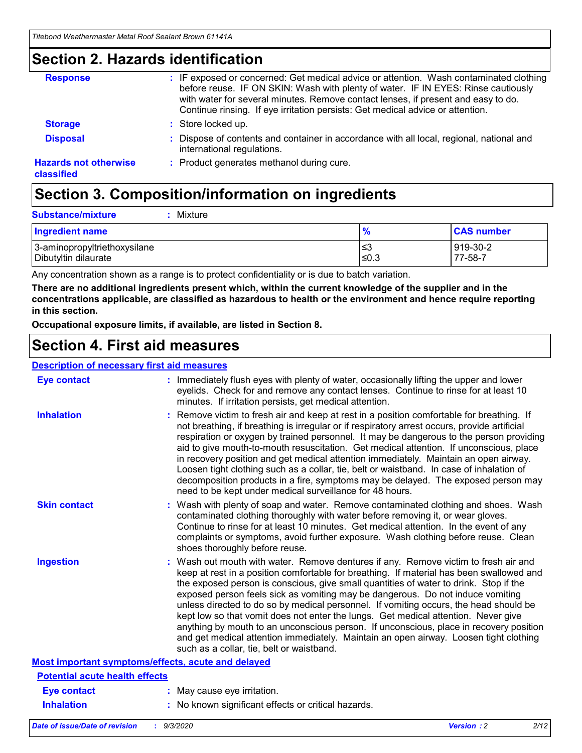### **Section 2. Hazards identification**

| <b>Response</b>                            | : IF exposed or concerned: Get medical advice or attention. Wash contaminated clothing<br>before reuse. IF ON SKIN: Wash with plenty of water. IF IN EYES: Rinse cautiously<br>with water for several minutes. Remove contact lenses, if present and easy to do.<br>Continue rinsing. If eye irritation persists: Get medical advice or attention. |
|--------------------------------------------|----------------------------------------------------------------------------------------------------------------------------------------------------------------------------------------------------------------------------------------------------------------------------------------------------------------------------------------------------|
| <b>Storage</b>                             | : Store locked up.                                                                                                                                                                                                                                                                                                                                 |
| <b>Disposal</b>                            | : Dispose of contents and container in accordance with all local, regional, national and<br>international regulations.                                                                                                                                                                                                                             |
| <b>Hazards not otherwise</b><br>classified | : Product generates methanol during cure.                                                                                                                                                                                                                                                                                                          |

## **Section 3. Composition/information on ingredients**

| <b>Substance/mixture</b> | Mixture |
|--------------------------|---------|
|                          |         |

| <b>Ingredient name</b>       | $\frac{9}{6}$ | <b>CAS number</b> |
|------------------------------|---------------|-------------------|
| 3-aminopropyltriethoxysilane | ՝≤3           | 919-30-2          |
| Dibutyltin dilaurate         | ∣≤0.3         | 77-58-7           |

Any concentration shown as a range is to protect confidentiality or is due to batch variation.

**There are no additional ingredients present which, within the current knowledge of the supplier and in the concentrations applicable, are classified as hazardous to health or the environment and hence require reporting in this section.**

**Occupational exposure limits, if available, are listed in Section 8.**

### **Section 4. First aid measures**

| <b>Description of necessary first aid measures</b> |                                                                                                                                                                                                                                                                                                                                                                                                                                                                                                                                                                                                                                                                                                                                                                           |
|----------------------------------------------------|---------------------------------------------------------------------------------------------------------------------------------------------------------------------------------------------------------------------------------------------------------------------------------------------------------------------------------------------------------------------------------------------------------------------------------------------------------------------------------------------------------------------------------------------------------------------------------------------------------------------------------------------------------------------------------------------------------------------------------------------------------------------------|
| <b>Eye contact</b>                                 | : Immediately flush eyes with plenty of water, occasionally lifting the upper and lower<br>eyelids. Check for and remove any contact lenses. Continue to rinse for at least 10<br>minutes. If irritation persists, get medical attention.                                                                                                                                                                                                                                                                                                                                                                                                                                                                                                                                 |
| <b>Inhalation</b>                                  | : Remove victim to fresh air and keep at rest in a position comfortable for breathing. If<br>not breathing, if breathing is irregular or if respiratory arrest occurs, provide artificial<br>respiration or oxygen by trained personnel. It may be dangerous to the person providing<br>aid to give mouth-to-mouth resuscitation. Get medical attention. If unconscious, place<br>in recovery position and get medical attention immediately. Maintain an open airway.<br>Loosen tight clothing such as a collar, tie, belt or waistband. In case of inhalation of<br>decomposition products in a fire, symptoms may be delayed. The exposed person may<br>need to be kept under medical surveillance for 48 hours.                                                       |
| <b>Skin contact</b>                                | : Wash with plenty of soap and water. Remove contaminated clothing and shoes. Wash<br>contaminated clothing thoroughly with water before removing it, or wear gloves.<br>Continue to rinse for at least 10 minutes. Get medical attention. In the event of any<br>complaints or symptoms, avoid further exposure. Wash clothing before reuse. Clean<br>shoes thoroughly before reuse.                                                                                                                                                                                                                                                                                                                                                                                     |
| <b>Ingestion</b>                                   | : Wash out mouth with water. Remove dentures if any. Remove victim to fresh air and<br>keep at rest in a position comfortable for breathing. If material has been swallowed and<br>the exposed person is conscious, give small quantities of water to drink. Stop if the<br>exposed person feels sick as vomiting may be dangerous. Do not induce vomiting<br>unless directed to do so by medical personnel. If vomiting occurs, the head should be<br>kept low so that vomit does not enter the lungs. Get medical attention. Never give<br>anything by mouth to an unconscious person. If unconscious, place in recovery position<br>and get medical attention immediately. Maintain an open airway. Loosen tight clothing<br>such as a collar, tie, belt or waistband. |
| Most important symptoms/effects, acute and delayed |                                                                                                                                                                                                                                                                                                                                                                                                                                                                                                                                                                                                                                                                                                                                                                           |
| <b>Potential acute health effects</b>              |                                                                                                                                                                                                                                                                                                                                                                                                                                                                                                                                                                                                                                                                                                                                                                           |
| <b>Eye contact</b>                                 | : May cause eye irritation.                                                                                                                                                                                                                                                                                                                                                                                                                                                                                                                                                                                                                                                                                                                                               |
| <b>Inhalation</b>                                  | : No known significant effects or critical hazards.                                                                                                                                                                                                                                                                                                                                                                                                                                                                                                                                                                                                                                                                                                                       |
|                                                    |                                                                                                                                                                                                                                                                                                                                                                                                                                                                                                                                                                                                                                                                                                                                                                           |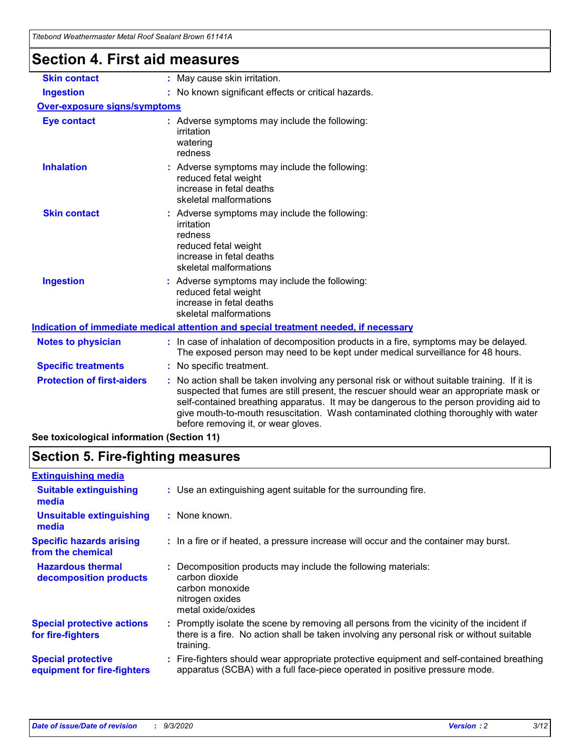| Titebond Weathermaster Metal Roof Sealant Brown 61141A<br><b>Section 4. First aid measures</b> |                                                                                                                                                                                                                                                                                                                                                                                                                 |
|------------------------------------------------------------------------------------------------|-----------------------------------------------------------------------------------------------------------------------------------------------------------------------------------------------------------------------------------------------------------------------------------------------------------------------------------------------------------------------------------------------------------------|
| <b>Skin contact</b>                                                                            | : May cause skin irritation.                                                                                                                                                                                                                                                                                                                                                                                    |
| <b>Ingestion</b>                                                                               | : No known significant effects or critical hazards.                                                                                                                                                                                                                                                                                                                                                             |
| <b>Over-exposure signs/symptoms</b>                                                            |                                                                                                                                                                                                                                                                                                                                                                                                                 |
| <b>Eye contact</b>                                                                             | : Adverse symptoms may include the following:<br>irritation<br>watering<br>redness                                                                                                                                                                                                                                                                                                                              |
| <b>Inhalation</b>                                                                              | : Adverse symptoms may include the following:<br>reduced fetal weight<br>increase in fetal deaths<br>skeletal malformations                                                                                                                                                                                                                                                                                     |
| <b>Skin contact</b>                                                                            | Adverse symptoms may include the following:<br>irritation<br>redness<br>reduced fetal weight<br>increase in fetal deaths<br>skeletal malformations                                                                                                                                                                                                                                                              |
| <b>Ingestion</b>                                                                               | : Adverse symptoms may include the following:<br>reduced fetal weight<br>increase in fetal deaths<br>skeletal malformations                                                                                                                                                                                                                                                                                     |
|                                                                                                | Indication of immediate medical attention and special treatment needed, if necessary                                                                                                                                                                                                                                                                                                                            |
| <b>Notes to physician</b>                                                                      | : In case of inhalation of decomposition products in a fire, symptoms may be delayed.<br>The exposed person may need to be kept under medical surveillance for 48 hours.                                                                                                                                                                                                                                        |
| <b>Specific treatments</b>                                                                     | : No specific treatment.                                                                                                                                                                                                                                                                                                                                                                                        |
| <b>Protection of first-aiders</b>                                                              | : No action shall be taken involving any personal risk or without suitable training. If it is<br>suspected that fumes are still present, the rescuer should wear an appropriate mask or<br>self-contained breathing apparatus. It may be dangerous to the person providing aid to<br>give mouth-to-mouth resuscitation. Wash contaminated clothing thoroughly with water<br>before removing it, or wear gloves. |

**See toxicological information (Section 11)**

## **Section 5. Fire-fighting measures**

| <b>Extinguishing media</b>                               |                                                                                                                                                                                                     |
|----------------------------------------------------------|-----------------------------------------------------------------------------------------------------------------------------------------------------------------------------------------------------|
| <b>Suitable extinguishing</b><br>media                   | : Use an extinguishing agent suitable for the surrounding fire.                                                                                                                                     |
| <b>Unsuitable extinguishing</b><br>media                 | : None known.                                                                                                                                                                                       |
| <b>Specific hazards arising</b><br>from the chemical     | : In a fire or if heated, a pressure increase will occur and the container may burst.                                                                                                               |
| <b>Hazardous thermal</b><br>decomposition products       | Decomposition products may include the following materials:<br>carbon dioxide<br>carbon monoxide<br>nitrogen oxides<br>metal oxide/oxides                                                           |
| <b>Special protective actions</b><br>for fire-fighters   | : Promptly isolate the scene by removing all persons from the vicinity of the incident if<br>there is a fire. No action shall be taken involving any personal risk or without suitable<br>training. |
| <b>Special protective</b><br>equipment for fire-fighters | Fire-fighters should wear appropriate protective equipment and self-contained breathing<br>apparatus (SCBA) with a full face-piece operated in positive pressure mode.                              |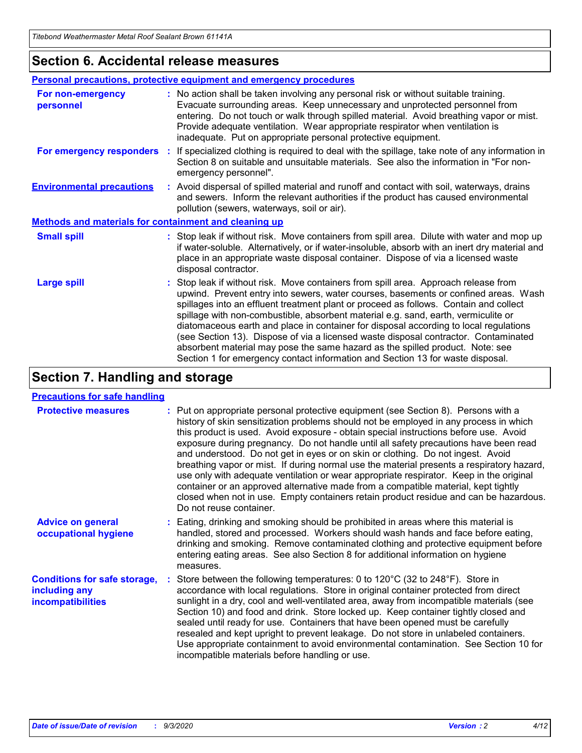### **Section 6. Accidental release measures**

|                                                              | Personal precautions, protective equipment and emergency procedures                                                                                                                                                                                                                                                                                                                                                                                                                                                                                                                                                                                                                                          |  |  |  |  |
|--------------------------------------------------------------|--------------------------------------------------------------------------------------------------------------------------------------------------------------------------------------------------------------------------------------------------------------------------------------------------------------------------------------------------------------------------------------------------------------------------------------------------------------------------------------------------------------------------------------------------------------------------------------------------------------------------------------------------------------------------------------------------------------|--|--|--|--|
| For non-emergency<br>personnel                               | : No action shall be taken involving any personal risk or without suitable training.<br>Evacuate surrounding areas. Keep unnecessary and unprotected personnel from<br>entering. Do not touch or walk through spilled material. Avoid breathing vapor or mist.<br>Provide adequate ventilation. Wear appropriate respirator when ventilation is<br>inadequate. Put on appropriate personal protective equipment.                                                                                                                                                                                                                                                                                             |  |  |  |  |
| For emergency responders                                     | : If specialized clothing is required to deal with the spillage, take note of any information in<br>Section 8 on suitable and unsuitable materials. See also the information in "For non-<br>emergency personnel".                                                                                                                                                                                                                                                                                                                                                                                                                                                                                           |  |  |  |  |
| <b>Environmental precautions</b>                             | : Avoid dispersal of spilled material and runoff and contact with soil, waterways, drains<br>and sewers. Inform the relevant authorities if the product has caused environmental<br>pollution (sewers, waterways, soil or air).                                                                                                                                                                                                                                                                                                                                                                                                                                                                              |  |  |  |  |
| <b>Methods and materials for containment and cleaning up</b> |                                                                                                                                                                                                                                                                                                                                                                                                                                                                                                                                                                                                                                                                                                              |  |  |  |  |
| <b>Small spill</b>                                           | : Stop leak if without risk. Move containers from spill area. Dilute with water and mop up<br>if water-soluble. Alternatively, or if water-insoluble, absorb with an inert dry material and<br>place in an appropriate waste disposal container. Dispose of via a licensed waste<br>disposal contractor.                                                                                                                                                                                                                                                                                                                                                                                                     |  |  |  |  |
| <b>Large spill</b>                                           | : Stop leak if without risk. Move containers from spill area. Approach release from<br>upwind. Prevent entry into sewers, water courses, basements or confined areas. Wash<br>spillages into an effluent treatment plant or proceed as follows. Contain and collect<br>spillage with non-combustible, absorbent material e.g. sand, earth, vermiculite or<br>diatomaceous earth and place in container for disposal according to local regulations<br>(see Section 13). Dispose of via a licensed waste disposal contractor. Contaminated<br>absorbent material may pose the same hazard as the spilled product. Note: see<br>Section 1 for emergency contact information and Section 13 for waste disposal. |  |  |  |  |

## **Section 7. Handling and storage**

### **Precautions for safe handling**

| <b>Protective measures</b>                                                       | : Put on appropriate personal protective equipment (see Section 8). Persons with a<br>history of skin sensitization problems should not be employed in any process in which<br>this product is used. Avoid exposure - obtain special instructions before use. Avoid<br>exposure during pregnancy. Do not handle until all safety precautions have been read<br>and understood. Do not get in eyes or on skin or clothing. Do not ingest. Avoid<br>breathing vapor or mist. If during normal use the material presents a respiratory hazard,<br>use only with adequate ventilation or wear appropriate respirator. Keep in the original<br>container or an approved alternative made from a compatible material, kept tightly<br>closed when not in use. Empty containers retain product residue and can be hazardous.<br>Do not reuse container. |
|----------------------------------------------------------------------------------|--------------------------------------------------------------------------------------------------------------------------------------------------------------------------------------------------------------------------------------------------------------------------------------------------------------------------------------------------------------------------------------------------------------------------------------------------------------------------------------------------------------------------------------------------------------------------------------------------------------------------------------------------------------------------------------------------------------------------------------------------------------------------------------------------------------------------------------------------|
| <b>Advice on general</b><br>occupational hygiene                                 | : Eating, drinking and smoking should be prohibited in areas where this material is<br>handled, stored and processed. Workers should wash hands and face before eating,<br>drinking and smoking. Remove contaminated clothing and protective equipment before<br>entering eating areas. See also Section 8 for additional information on hygiene<br>measures.                                                                                                                                                                                                                                                                                                                                                                                                                                                                                    |
| <b>Conditions for safe storage,</b><br>including any<br><i>incompatibilities</i> | Store between the following temperatures: 0 to 120°C (32 to 248°F). Store in<br>accordance with local regulations. Store in original container protected from direct<br>sunlight in a dry, cool and well-ventilated area, away from incompatible materials (see<br>Section 10) and food and drink. Store locked up. Keep container tightly closed and<br>sealed until ready for use. Containers that have been opened must be carefully<br>resealed and kept upright to prevent leakage. Do not store in unlabeled containers.<br>Use appropriate containment to avoid environmental contamination. See Section 10 for<br>incompatible materials before handling or use.                                                                                                                                                                         |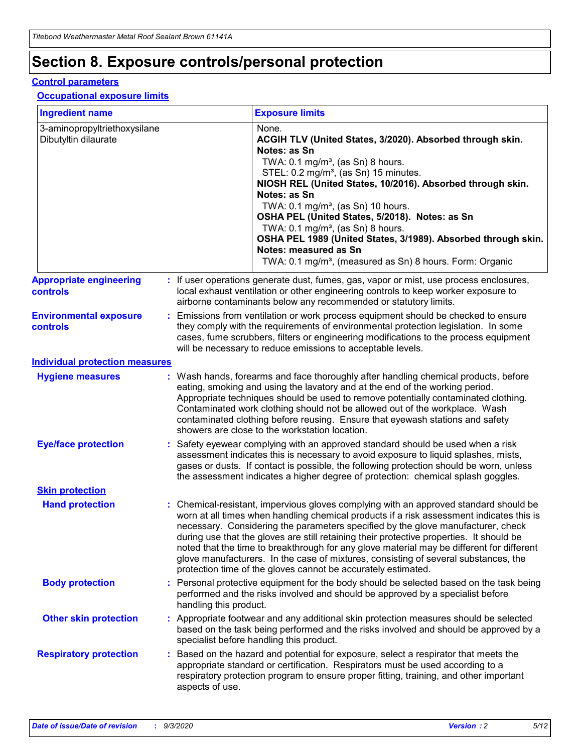## **Section 8. Exposure controls/personal protection**

### **Control parameters**

#### **Occupational exposure limits**

| <b>Ingredient name</b>                               |    |                        | <b>Exposure limits</b>                                                                                                                                                                                                                                                                                                                                                                                                                                                                                                                                                                                                 |
|------------------------------------------------------|----|------------------------|------------------------------------------------------------------------------------------------------------------------------------------------------------------------------------------------------------------------------------------------------------------------------------------------------------------------------------------------------------------------------------------------------------------------------------------------------------------------------------------------------------------------------------------------------------------------------------------------------------------------|
| 3-aminopropyltriethoxysilane<br>Dibutyltin dilaurate |    |                        | None.<br>ACGIH TLV (United States, 3/2020). Absorbed through skin.<br>Notes: as Sn<br>TWA: $0.1 \text{ mg/m}^3$ , (as Sn) 8 hours.<br>STEL: 0.2 mg/m <sup>3</sup> , (as Sn) 15 minutes.<br>NIOSH REL (United States, 10/2016). Absorbed through skin.<br>Notes: as Sn<br>TWA: 0.1 mg/m <sup>3</sup> , (as Sn) 10 hours.<br>OSHA PEL (United States, 5/2018). Notes: as Sn<br>TWA: 0.1 mg/m <sup>3</sup> , (as Sn) 8 hours.<br>OSHA PEL 1989 (United States, 3/1989). Absorbed through skin.<br>Notes: measured as Sn<br>TWA: 0.1 mg/m <sup>3</sup> , (measured as Sn) 8 hours. Form: Organic                           |
| <b>Appropriate engineering</b><br>controls           |    |                        | : If user operations generate dust, fumes, gas, vapor or mist, use process enclosures,<br>local exhaust ventilation or other engineering controls to keep worker exposure to<br>airborne contaminants below any recommended or statutory limits.                                                                                                                                                                                                                                                                                                                                                                       |
| <b>Environmental exposure</b><br>controls            |    |                        | Emissions from ventilation or work process equipment should be checked to ensure<br>they comply with the requirements of environmental protection legislation. In some<br>cases, fume scrubbers, filters or engineering modifications to the process equipment<br>will be necessary to reduce emissions to acceptable levels.                                                                                                                                                                                                                                                                                          |
| <b>Individual protection measures</b>                |    |                        |                                                                                                                                                                                                                                                                                                                                                                                                                                                                                                                                                                                                                        |
| <b>Hygiene measures</b>                              |    |                        | : Wash hands, forearms and face thoroughly after handling chemical products, before<br>eating, smoking and using the lavatory and at the end of the working period.<br>Appropriate techniques should be used to remove potentially contaminated clothing.<br>Contaminated work clothing should not be allowed out of the workplace. Wash<br>contaminated clothing before reusing. Ensure that eyewash stations and safety<br>showers are close to the workstation location.                                                                                                                                            |
| <b>Eye/face protection</b>                           |    |                        | Safety eyewear complying with an approved standard should be used when a risk<br>assessment indicates this is necessary to avoid exposure to liquid splashes, mists,<br>gases or dusts. If contact is possible, the following protection should be worn, unless<br>the assessment indicates a higher degree of protection: chemical splash goggles.                                                                                                                                                                                                                                                                    |
| <b>Skin protection</b>                               |    |                        |                                                                                                                                                                                                                                                                                                                                                                                                                                                                                                                                                                                                                        |
| <b>Hand protection</b>                               |    |                        | : Chemical-resistant, impervious gloves complying with an approved standard should be<br>worn at all times when handling chemical products if a risk assessment indicates this is<br>necessary. Considering the parameters specified by the glove manufacturer, check<br>during use that the gloves are still retaining their protective properties. It should be<br>noted that the time to breakthrough for any glove material may be different for different<br>glove manufacturers. In the case of mixtures, consisting of several substances, the<br>protection time of the gloves cannot be accurately estimated. |
| <b>Body protection</b>                               |    | handling this product. | Personal protective equipment for the body should be selected based on the task being<br>performed and the risks involved and should be approved by a specialist before                                                                                                                                                                                                                                                                                                                                                                                                                                                |
| <b>Other skin protection</b>                         |    |                        | : Appropriate footwear and any additional skin protection measures should be selected<br>based on the task being performed and the risks involved and should be approved by a<br>specialist before handling this product.                                                                                                                                                                                                                                                                                                                                                                                              |
| <b>Respiratory protection</b>                        | ÷. | aspects of use.        | Based on the hazard and potential for exposure, select a respirator that meets the<br>appropriate standard or certification. Respirators must be used according to a<br>respiratory protection program to ensure proper fitting, training, and other important                                                                                                                                                                                                                                                                                                                                                         |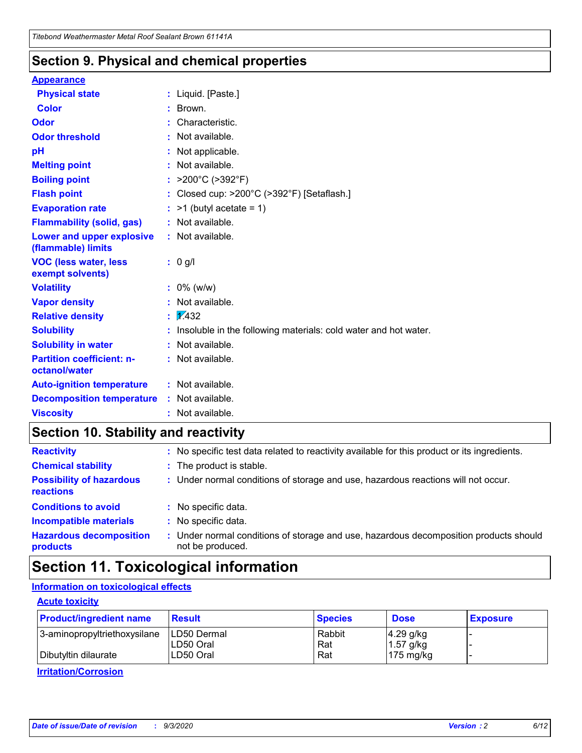### **Section 9. Physical and chemical properties**

### **Appearance**

| <b>Physical state</b>                                  |   | : Liquid. [Paste.]                                              |
|--------------------------------------------------------|---|-----------------------------------------------------------------|
| <b>Color</b>                                           |   | Brown.                                                          |
| Odor                                                   |   | Characteristic.                                                 |
| <b>Odor threshold</b>                                  | ÷ | Not available.                                                  |
| рH                                                     |   | Not applicable.                                                 |
| <b>Melting point</b>                                   |   | : Not available.                                                |
| <b>Boiling point</b>                                   |   | : $>200^{\circ}$ C ( $>392^{\circ}$ F)                          |
| <b>Flash point</b>                                     |   | Closed cup: >200°C (>392°F) [Setaflash.]                        |
| <b>Evaporation rate</b>                                |   | $:$ >1 (butyl acetate = 1)                                      |
| <b>Flammability (solid, gas)</b>                       |   | : Not available.                                                |
| <b>Lower and upper explosive</b><br>(flammable) limits |   | : Not available.                                                |
| <b>VOC (less water, less)</b><br>exempt solvents)      |   | : 0 g/l                                                         |
| <b>Volatility</b>                                      |   | $: 0\%$ (w/w)                                                   |
| <b>Vapor density</b>                                   |   | Not available.                                                  |
| <b>Relative density</b>                                |   | $\mathbf{1}$ $\mathbf{\sqrt{432}}$                              |
| <b>Solubility</b>                                      |   | Insoluble in the following materials: cold water and hot water. |
| <b>Solubility in water</b>                             |   | Not available.                                                  |
| <b>Partition coefficient: n-</b><br>octanol/water      |   | : Not available.                                                |
| <b>Auto-ignition temperature</b>                       |   | : Not available.                                                |
| <b>Decomposition temperature</b>                       |   | : Not available.                                                |
| <b>Viscosity</b>                                       |   | $:$ Not available.                                              |

## **Section 10. Stability and reactivity**

| <b>Reactivity</b>                            |    | : No specific test data related to reactivity available for this product or its ingredients.            |
|----------------------------------------------|----|---------------------------------------------------------------------------------------------------------|
| <b>Chemical stability</b>                    |    | : The product is stable.                                                                                |
| <b>Possibility of hazardous</b><br>reactions |    | : Under normal conditions of storage and use, hazardous reactions will not occur.                       |
| <b>Conditions to avoid</b>                   |    | : No specific data.                                                                                     |
| <b>Incompatible materials</b>                | ٠. | No specific data.                                                                                       |
| <b>Hazardous decomposition</b><br>products   | ÷. | Under normal conditions of storage and use, hazardous decomposition products should<br>not be produced. |

## **Section 11. Toxicological information**

### **Information on toxicological effects**

### **Acute toxicity**

| <b>Product/ingredient name</b> | <b>Result</b>           | <b>Species</b> | <b>Dose</b>                | <b>Exposure</b> |
|--------------------------------|-------------------------|----------------|----------------------------|-----------------|
| 3-aminopropyltriethoxysilane   | <b>ILD50 Dermal</b>     | Rabbit         | 4.29 g/kg                  |                 |
| Dibutyltin dilaurate           | ILD50 Oral<br>LD50 Oral | Rat<br>Rat     | $1.57$ g/kg<br>175 $mg/kg$ |                 |
|                                |                         |                |                            |                 |

**Irritation/Corrosion**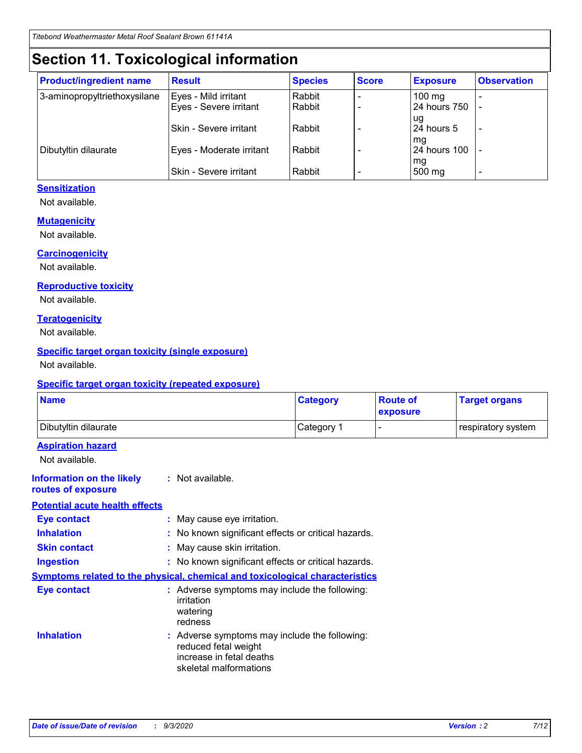## **Section 11. Toxicological information**

| <b>Product/ingredient name</b> | <b>Result</b>                 | <b>Species</b> | <b>Score</b> | <b>Exposure</b>    | <b>Observation</b> |
|--------------------------------|-------------------------------|----------------|--------------|--------------------|--------------------|
| 3-aminopropyltriethoxysilane   | Eyes - Mild irritant          | Rabbit         |              | $100$ mg           |                    |
|                                | Eyes - Severe irritant        | Rabbit         |              | 24 hours 750       |                    |
|                                |                               |                |              | ug                 |                    |
|                                | <b>Skin - Severe irritant</b> | Rabbit         |              | 24 hours 5         | ۰                  |
| Dibutyltin dilaurate           | Eyes - Moderate irritant      | Rabbit         |              | mq<br>24 hours 100 |                    |
|                                |                               |                |              | mg                 |                    |
|                                | Skin - Severe irritant        | Rabbit         |              | 500 mg             |                    |

### **Sensitization**

Not available.

### **Mutagenicity**

Not available.

#### **Carcinogenicity**

Not available.

#### **Reproductive toxicity**

Not available.

### **Teratogenicity**

Not available.

### **Specific target organ toxicity (single exposure)**

Not available.

### **Specific target organ toxicity (repeated exposure)**

| <b>Name</b>                                                                         |                                                                            | <b>Category</b>                                     | <b>Route of</b><br>exposure | <b>Target organs</b> |  |  |
|-------------------------------------------------------------------------------------|----------------------------------------------------------------------------|-----------------------------------------------------|-----------------------------|----------------------|--|--|
| Dibutyltin dilaurate                                                                |                                                                            | Category 1                                          |                             | respiratory system   |  |  |
| <b>Aspiration hazard</b><br>Not available.                                          |                                                                            |                                                     |                             |                      |  |  |
| <b>Information on the likely</b><br>routes of exposure                              | : Not available.                                                           |                                                     |                             |                      |  |  |
| <b>Potential acute health effects</b>                                               |                                                                            |                                                     |                             |                      |  |  |
| <b>Eye contact</b>                                                                  | : May cause eye irritation.                                                |                                                     |                             |                      |  |  |
| <b>Inhalation</b>                                                                   |                                                                            | : No known significant effects or critical hazards. |                             |                      |  |  |
| <b>Skin contact</b>                                                                 |                                                                            | : May cause skin irritation.                        |                             |                      |  |  |
| <b>Ingestion</b>                                                                    |                                                                            | : No known significant effects or critical hazards. |                             |                      |  |  |
| <b>Symptoms related to the physical, chemical and toxicological characteristics</b> |                                                                            |                                                     |                             |                      |  |  |
| <b>Eye contact</b>                                                                  | irritation<br>watering<br>redness                                          | : Adverse symptoms may include the following:       |                             |                      |  |  |
| <b>Inhalation</b>                                                                   | reduced fetal weight<br>increase in fetal deaths<br>skeletal malformations | : Adverse symptoms may include the following:       |                             |                      |  |  |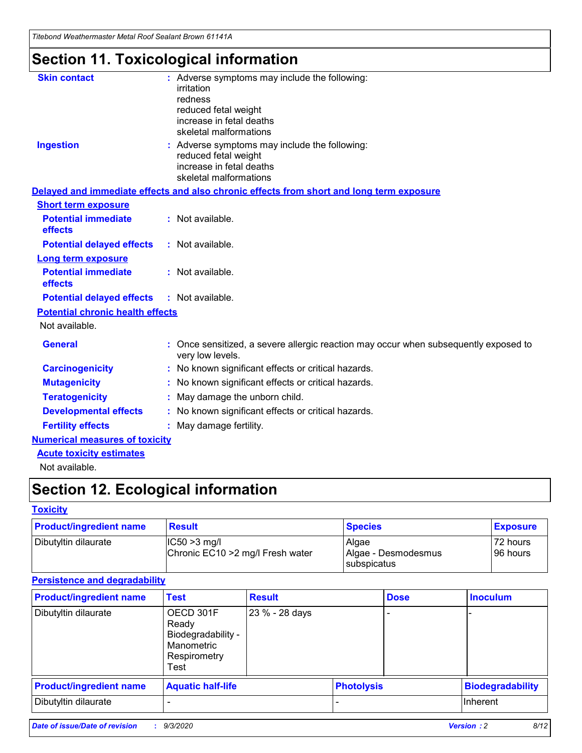*Titebond Weathermaster Metal Roof Sealant Brown 61141A*

## **Section 11. Toxicological information**

| <b>Skin contact</b>                     | : Adverse symptoms may include the following:<br>irritation                                            |
|-----------------------------------------|--------------------------------------------------------------------------------------------------------|
|                                         | redness                                                                                                |
|                                         | reduced fetal weight                                                                                   |
|                                         | increase in fetal deaths                                                                               |
|                                         | skeletal malformations                                                                                 |
| <b>Ingestion</b>                        | : Adverse symptoms may include the following:<br>reduced fetal weight                                  |
|                                         | increase in fetal deaths                                                                               |
|                                         | skeletal malformations                                                                                 |
|                                         | Delayed and immediate effects and also chronic effects from short and long term exposure               |
| <b>Short term exposure</b>              |                                                                                                        |
| <b>Potential immediate</b><br>effects   | : Not available.                                                                                       |
| <b>Potential delayed effects</b>        | : Not available.                                                                                       |
| <b>Long term exposure</b>               |                                                                                                        |
| <b>Potential immediate</b><br>effects   | : Not available.                                                                                       |
| <b>Potential delayed effects</b>        | : Not available.                                                                                       |
| <b>Potential chronic health effects</b> |                                                                                                        |
| Not available.                          |                                                                                                        |
| <b>General</b>                          | Once sensitized, a severe allergic reaction may occur when subsequently exposed to<br>very low levels. |
| <b>Carcinogenicity</b>                  | No known significant effects or critical hazards.                                                      |
| <b>Mutagenicity</b>                     | : No known significant effects or critical hazards.                                                    |
| <b>Teratogenicity</b>                   | May damage the unborn child.                                                                           |
| <b>Developmental effects</b>            | : No known significant effects or critical hazards.                                                    |
| <b>Fertility effects</b>                | : May damage fertility.                                                                                |
| <b>Numerical measures of toxicity</b>   |                                                                                                        |
| <b>Acute toxicity estimates</b>         |                                                                                                        |
| Not ovoilable                           |                                                                                                        |

Not available.

## **Section 12. Ecological information**

### **Toxicity**

| <b>Product/ingredient name</b> | <b>Result</b>                                       | <b>Species</b>               | <b>Exposure</b>       |
|--------------------------------|-----------------------------------------------------|------------------------------|-----------------------|
| Dibutyltin dilaurate           | $ CC50>3$ mg/l<br>Chronic EC10 > 2 mg/l Fresh water | Algae<br>Algae - Desmodesmus | 72 hours<br>196 hours |
|                                |                                                     | <b>I</b> subspicatus         |                       |

### **Persistence and degradability**

| <b>Product/ingredient name</b> | <b>Test</b>                                                                    | <b>Result</b>  |                   | <b>Dose</b> | <b>Inoculum</b>         |
|--------------------------------|--------------------------------------------------------------------------------|----------------|-------------------|-------------|-------------------------|
| Dibutyltin dilaurate           | OECD 301F<br>Ready<br>Biodegradability -<br>Manometric<br>Respirometry<br>Test | 23 % - 28 days |                   |             |                         |
| <b>Product/ingredient name</b> | <b>Aquatic half-life</b>                                                       |                | <b>Photolysis</b> |             | <b>Biodegradability</b> |
| Dibutyltin dilaurate           |                                                                                |                |                   |             | <b>Inherent</b>         |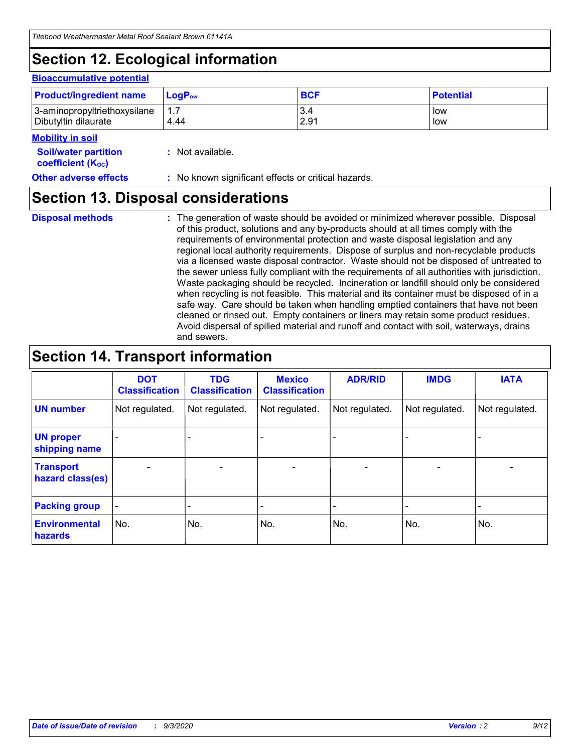## **Section 12. Ecological information**

#### **Bioaccumulative potential**

| <b>Product/ingredient name</b> | <b>LogP</b> <sub>ow</sub> | <b>BCF</b> | <b>Potential</b> |
|--------------------------------|---------------------------|------------|------------------|
| 3-aminopropyltriethoxysilane   | 4.44                      | 3.4        | low              |
| Dibutyltin dilaurate           |                           | 2.91       | low              |

#### **Mobility in soil**

| <b>Soil/water partition</b>           | : Not available. |  |
|---------------------------------------|------------------|--|
| <b>coefficient</b> (K <sub>oc</sub> ) |                  |  |

#### **Other adverse effects** : No known significant effects or critical hazards.

### **Section 13. Disposal considerations**

**Disposal methods :**

The generation of waste should be avoided or minimized wherever possible. Disposal of this product, solutions and any by-products should at all times comply with the requirements of environmental protection and waste disposal legislation and any regional local authority requirements. Dispose of surplus and non-recyclable products via a licensed waste disposal contractor. Waste should not be disposed of untreated to the sewer unless fully compliant with the requirements of all authorities with jurisdiction. Waste packaging should be recycled. Incineration or landfill should only be considered when recycling is not feasible. This material and its container must be disposed of in a safe way. Care should be taken when handling emptied containers that have not been cleaned or rinsed out. Empty containers or liners may retain some product residues. Avoid dispersal of spilled material and runoff and contact with soil, waterways, drains and sewers.

## **Section 14. Transport information**

|                                      | <b>DOT</b><br><b>Classification</b> | <b>TDG</b><br><b>Classification</b> | <b>Mexico</b><br><b>Classification</b> | <b>ADR/RID</b>           | <b>IMDG</b>              | <b>IATA</b>    |
|--------------------------------------|-------------------------------------|-------------------------------------|----------------------------------------|--------------------------|--------------------------|----------------|
| <b>UN number</b>                     | Not regulated.                      | Not regulated.                      | Not regulated.                         | Not regulated.           | Not regulated.           | Not regulated. |
| <b>UN proper</b><br>shipping name    |                                     |                                     |                                        |                          |                          |                |
| <b>Transport</b><br>hazard class(es) |                                     | $\overline{\phantom{0}}$            | $\qquad \qquad \blacksquare$           | $\overline{\phantom{0}}$ | $\overline{\phantom{0}}$ |                |
| <b>Packing group</b>                 |                                     |                                     |                                        |                          |                          |                |
| <b>Environmental</b><br>hazards      | No.                                 | No.                                 | No.                                    | No.                      | No.                      | No.            |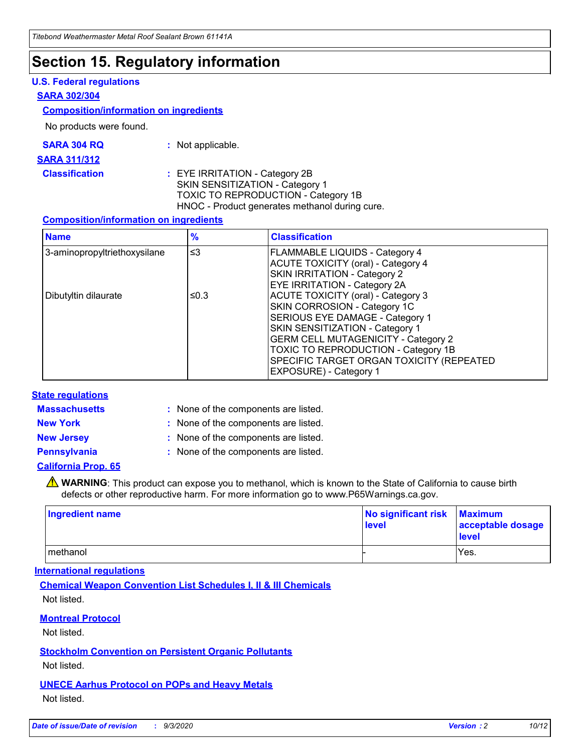### **Section 15. Regulatory information**

### **U.S. Federal regulations**

#### **SARA 302/304**

### **Composition/information on ingredients**

No products were found.

| SARA 304 RQ | Not applicable. |
|-------------|-----------------|
|-------------|-----------------|

#### **SARA 311/312**

**Classification :** EYE IRRITATION - Category 2B SKIN SENSITIZATION - Category 1 TOXIC TO REPRODUCTION - Category 1B HNOC - Product generates methanol during cure.

### **Composition/information on ingredients**

| <b>Name</b>                  | $\frac{9}{6}$ | <b>Classification</b>                                                                                                                                                                                                                                                                                      |
|------------------------------|---------------|------------------------------------------------------------------------------------------------------------------------------------------------------------------------------------------------------------------------------------------------------------------------------------------------------------|
| 3-aminopropyltriethoxysilane | $\leq$ 3      | <b>FLAMMABLE LIQUIDS - Category 4</b><br><b>ACUTE TOXICITY (oral) - Category 4</b><br><b>SKIN IRRITATION - Category 2</b><br>EYE IRRITATION - Category 2A                                                                                                                                                  |
| Dibutyltin dilaurate         | ≤0.3          | <b>ACUTE TOXICITY (oral) - Category 3</b><br>SKIN CORROSION - Category 1C<br>SERIOUS EYE DAMAGE - Category 1<br>SKIN SENSITIZATION - Category 1<br><b>GERM CELL MUTAGENICITY - Category 2</b><br>TOXIC TO REPRODUCTION - Category 1B<br>SPECIFIC TARGET ORGAN TOXICITY (REPEATED<br>EXPOSURE) - Category 1 |

### **State regulations**

**Massachusetts :**

: None of the components are listed.

**New York :** None of the components are listed. **New Jersey :** None of the components are listed.

**Pennsylvania :** None of the components are listed.

### **California Prop. 65**

WARNING: This product can expose you to methanol, which is known to the State of California to cause birth defects or other reproductive harm. For more information go to www.P65Warnings.ca.gov.

| Ingredient name | No significant risk Maximum<br>level | acceptable dosage<br><b>level</b> |
|-----------------|--------------------------------------|-----------------------------------|
| I methanol      |                                      | Yes.                              |

### **International regulations**

**Chemical Weapon Convention List Schedules I, II & III Chemicals** Not listed.

**Montreal Protocol**

Not listed.

**Stockholm Convention on Persistent Organic Pollutants**

Not listed.

**UNECE Aarhus Protocol on POPs and Heavy Metals** Not listed.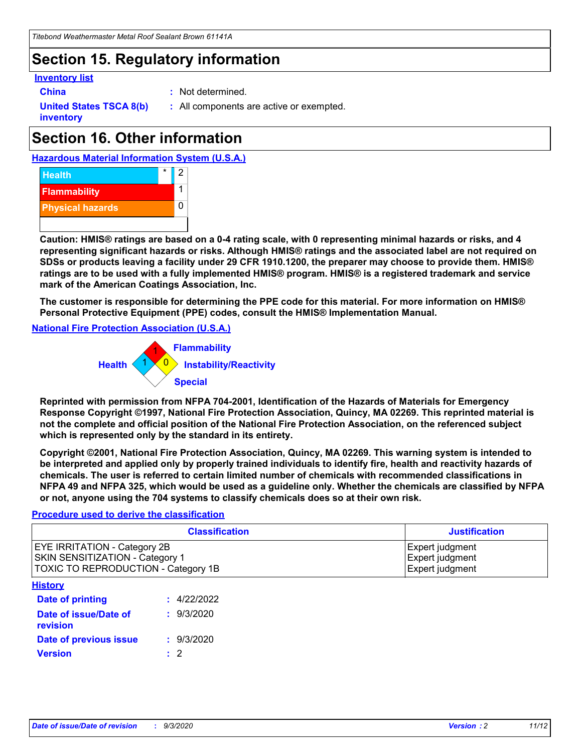## **Section 15. Regulatory information**

### **Inventory list**

- 
- **China :** Not determined.

**United States TSCA 8(b) inventory**

**:** All components are active or exempted.

## **Section 16. Other information**





**Caution: HMIS® ratings are based on a 0-4 rating scale, with 0 representing minimal hazards or risks, and 4 representing significant hazards or risks. Although HMIS® ratings and the associated label are not required on SDSs or products leaving a facility under 29 CFR 1910.1200, the preparer may choose to provide them. HMIS® ratings are to be used with a fully implemented HMIS® program. HMIS® is a registered trademark and service mark of the American Coatings Association, Inc.**

**The customer is responsible for determining the PPE code for this material. For more information on HMIS® Personal Protective Equipment (PPE) codes, consult the HMIS® Implementation Manual.**

**National Fire Protection Association (U.S.A.)**



**Reprinted with permission from NFPA 704-2001, Identification of the Hazards of Materials for Emergency Response Copyright ©1997, National Fire Protection Association, Quincy, MA 02269. This reprinted material is not the complete and official position of the National Fire Protection Association, on the referenced subject which is represented only by the standard in its entirety.**

**Copyright ©2001, National Fire Protection Association, Quincy, MA 02269. This warning system is intended to be interpreted and applied only by properly trained individuals to identify fire, health and reactivity hazards of chemicals. The user is referred to certain limited number of chemicals with recommended classifications in NFPA 49 and NFPA 325, which would be used as a guideline only. Whether the chemicals are classified by NFPA or not, anyone using the 704 systems to classify chemicals does so at their own risk.**

### **Procedure used to derive the classification**

| <b>Classification</b>                                                                                                | <b>Justification</b>                                  |
|----------------------------------------------------------------------------------------------------------------------|-------------------------------------------------------|
| <b>EYE IRRITATION - Category 2B</b><br><b>SKIN SENSITIZATION - Category 1</b><br>TOXIC TO REPRODUCTION - Category 1B | Expert judgment<br>Expert judgment<br>Expert judgment |
| <b>History</b>                                                                                                       |                                                       |

| .                                 |             |
|-----------------------------------|-------------|
| <b>Date of printing</b>           | : 4/22/2022 |
| Date of issue/Date of<br>revision | : 9/3/2020  |
| Date of previous issue            | : 9/3/2020  |
| <b>Version</b>                    | $\cdot$ 2   |
|                                   |             |